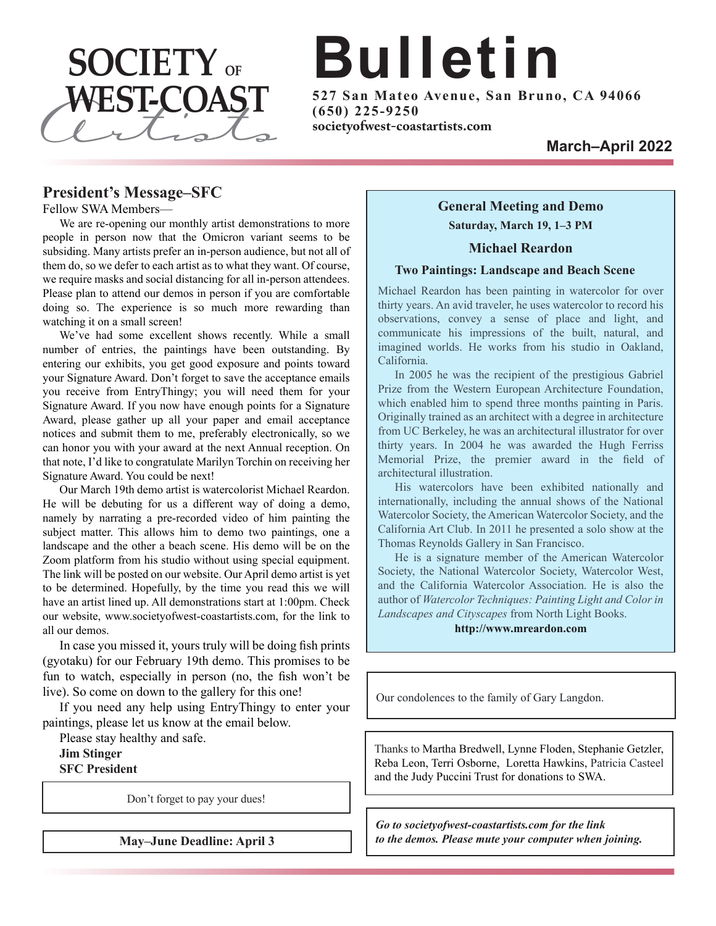

# **Bulletin**

**5 2 7 S an Ma teo Avenue, S an Brun o, CA 9 4 0 6 6 ( 6 5 0 ) 2 2 5 - 9 2 5 0**

#### **President's Message–SFC**

Fellow SWA Members—

We are re-opening our monthly artist demonstrations to more people in person now that the Omicron variant seems to be subsiding. Many artists prefer an in-person audience, but not all of them do, so we defer to each artist as to what they want. Of course, we require masks and social distancing for all in-person attendees. Please plan to attend our demos in person if you are comfortable doing so. The experience is so much more rewarding than watching it on a small screen!

We've had some excellent shows recently. While a small number of entries, the paintings have been outstanding. By entering our exhibits, you get good exposure and points toward your Signature Award. Don't forget to save the acceptance emails you receive from EntryThingy; you will need them for your Signature Award. If you now have enough points for a Signature Award, please gather up all your paper and email acceptance notices and submit them to me, preferably electronically, so we can honor you with your award at the next Annual reception. On that note, I'd like to congratulate Marilyn Torchin on receiving her Signature Award. You could be next!

Our March 19th demo artist is watercolorist Michael Reardon. He will be debuting for us a different way of doing a demo, namely by narrating a pre-recorded video of him painting the subject matter. This allows him to demo two paintings, one a landscape and the other a beach scene. His demo will be on the Zoom platform from his studio without using special equipment. The link will be posted on our website. Our April demo artist is yet to be determined. Hopefully, by the time you read this we will have an artist lined up. All demonstrations start at 1:00pm. Check our website, www.societyofwest-coastartists.com, for the link to all our demos.

In case you missed it, yours truly will be doing fish prints (gyotaku) for our February 19th demo. This promises to be fun to watch, especially in person (no, the fish won't be live). So come on down to the gallery for this one!

If you need any help using EntryThingy to enter your paintings, please let us know at the email below.

Please stay healthy and safe.

**Jim Stinger SFC President**

Don't forget to pay your dues!

### **General Meeting and Demo Saturday, March 19, 1–3 PM**

#### **Michael Reardon**

#### **Two Paintings: Landscape and Beach Scene**

Michael Reardon has been painting in watercolor for over thirty years. An avid traveler, he uses watercolor to record his observations, convey a sense of place and light, and communicate his impressions of the built, natural, and imagined worlds. He works from his studio in Oakland, California.

In 2005 he was the recipient of the prestigious Gabriel Prize from the Western European Architecture Foundation, which enabled him to spend three months painting in Paris. Originally trained as an architect with a degree in architecture from UC Berkeley, he was an architectural illustrator for over thirty years. In 2004 he was awarded the Hugh Ferriss Memorial Prize, the premier award in the field of architectural illustration.

His watercolors have been exhibited nationally and internationally, including the annual shows of the National Watercolor Society, the American Watercolor Society, and the California Art Club. In 2011 he presented a solo show at the Thomas Reynolds Gallery in San Francisco.

He is a signature member of the American Watercolor Society, the National Watercolor Society, Watercolor West, and the California Watercolor Association. He is also the author of *Watercolor Techniques: Painting Light and Color in Landscapes and Cityscapes* from North Light Books.

**http://www.mreardon.com**

Our condolences to the family of Gary Langdon.

Thanks to Martha Bredwell, Lynne Floden, Stephanie Getzler, Reba Leon, Terri Osborne, Loretta Hawkins, Patricia Casteel and the Judy Puccini Trust for donations to SWA.

*Go to societyofwest-coastartists.com for the link to the demos. Please mute your computer when joining.*

**May–June Deadline: April 3**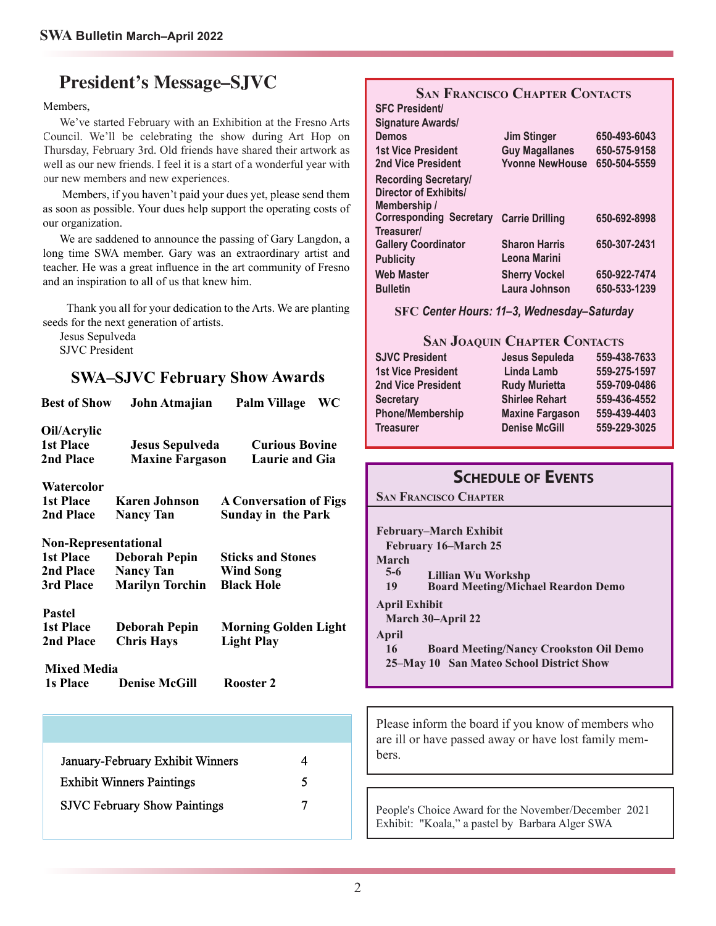### **President's Message–SJVC**

#### Members,

We've started February with an Exhibition at the Fresno Arts Council. We'll be celebrating the show during Art Hop on Thursday, February 3rd. Old friends have shared their artwork as well as our new friends. <sup>I</sup> feel it is <sup>a</sup> start of <sup>a</sup> wonderful year with our new members and new experiences.

Members, if you haven't paid your dues yet, <sup>p</sup>lease send them as soon as possible. Your dues help suppor<sup>t</sup> the operating costs of our organization.

We are saddened to announce the passing of Gary Langdon, <sup>a</sup> long time SWA member. Gary was an extraordinary artist and teacher. He was <sup>a</sup> grea<sup>t</sup> influence in the art community of Fresno and an inspiration to all of us that knew him.

Thank you all for your dedication to the Arts. We are <sup>p</sup>lanting seeds for the next generation of artists.

Jesus Sepulveda SJVC President

### **SWA–SJVC February Show Awards**

| <b>Best of Show</b>                          | John Atmajian                                    | <b>Palm Village</b><br>WC                      |  |  |
|----------------------------------------------|--------------------------------------------------|------------------------------------------------|--|--|
| Oil/Acrylic<br><b>1st Place</b><br>2nd Place | <b>Jesus Sepulveda</b><br><b>Maxine Fargason</b> | <b>Curious Bovine</b><br><b>Laurie and Gia</b> |  |  |
| Watercolor                                   |                                                  |                                                |  |  |
| <b>1st Place</b>                             | <b>Karen Johnson</b>                             | <b>A Conversation of Figs</b>                  |  |  |
| 2nd Place                                    | <b>Nancy Tan</b>                                 | <b>Sunday in the Park</b>                      |  |  |
| <b>Non-Representational</b>                  |                                                  |                                                |  |  |
| <b>1st Place</b>                             | <b>Deborah Pepin</b>                             | <b>Sticks and Stones</b>                       |  |  |
| 2nd Place                                    | <b>Nancy Tan</b>                                 | <b>Wind Song</b>                               |  |  |
| 3rd Place                                    | <b>Marilyn Torchin</b>                           | <b>Black Hole</b>                              |  |  |
| <b>Pastel</b>                                |                                                  |                                                |  |  |
| <b>1st Place</b>                             | <b>Deborah Pepin</b>                             | <b>Morning Golden Light</b>                    |  |  |
| 2nd Place                                    | <b>Chris Hays</b>                                | <b>Light Play</b>                              |  |  |
| <b>Mixed Media</b>                           |                                                  |                                                |  |  |
| <b>1s Place</b>                              | <b>Denise McGill</b>                             | Rooster 2                                      |  |  |
|                                              |                                                  |                                                |  |  |
|                                              |                                                  |                                                |  |  |
|                                              | January-February Exhibit Winners                 | 4                                              |  |  |
| <b>Exhibit Winners Paintings</b><br>5        |                                                  |                                                |  |  |
| 7<br><b>SJVC February Show Paintings</b>     |                                                  |                                                |  |  |

#### **SAN FRANCISCO CHAPTER CONTACTS SFC President/**

| ul v i itolutill               |                        |              |
|--------------------------------|------------------------|--------------|
| <b>Signature Awards/</b>       |                        |              |
| <b>Demos</b>                   | <b>Jim Stinger</b>     | 650-493-6043 |
| <b>1st Vice President</b>      | <b>Guy Magallanes</b>  | 650-575-9158 |
| 2nd Vice President             | <b>Yvonne NewHouse</b> | 650-504-5559 |
| <b>Recording Secretary/</b>    |                        |              |
| Director of Exhibits/          |                        |              |
| Membership /                   |                        |              |
| <b>Corresponding Secretary</b> | <b>Carrie Drilling</b> | 650-692-8998 |
| Treasurer/                     |                        |              |
| <b>Gallery Coordinator</b>     | <b>Sharon Harris</b>   | 650-307-2431 |
| <b>Publicity</b>               | Leona Marini           |              |
| <b>Web Master</b>              | <b>Sherry Vockel</b>   | 650-922-7474 |
| <b>Bulletin</b>                | Laura Johnson          | 650-533-1239 |
|                                |                        |              |

**SFC** *Center Hours: 11–3, Wednesday–Saturday*

#### **SAN JOAQUIN CHAPTER CONTACTS**

| <b>SJVC President</b>     | Jesus Sepuleda         | 559-438-7633 |
|---------------------------|------------------------|--------------|
| <b>1st Vice President</b> | Linda Lamb             | 559-275-1597 |
| <b>2nd Vice President</b> | <b>Rudy Murietta</b>   | 559-709-0486 |
| <b>Secretary</b>          | <b>Shirlee Rehart</b>  | 559-436-4552 |
| <b>Phone/Membership</b>   | <b>Maxine Fargason</b> | 559-439-4403 |
| <b>Treasurer</b>          | <b>Denise McGill</b>   | 559-229-3025 |

### **SCHEDULE OF EVENTS**

**SAN FRANCISCO CHAPTER**

**February–March Exhibit February 16–March 25** March<br>5-6 **5-6 Lillian Wu Workshp 19 Board Meeting/Michael Reardon Demo April Exhibit March 30–April 22 April 16 Board Meeting/Nancy Crookston Oil Demo 25–May 10 San Mateo School District Show**

Please inform the board if you know of members who are ill or have passed away or have lost family members.

People's Choice Award for the November/December 2021 Exhibit: "Koala," a pastel by Barbara Alger SWA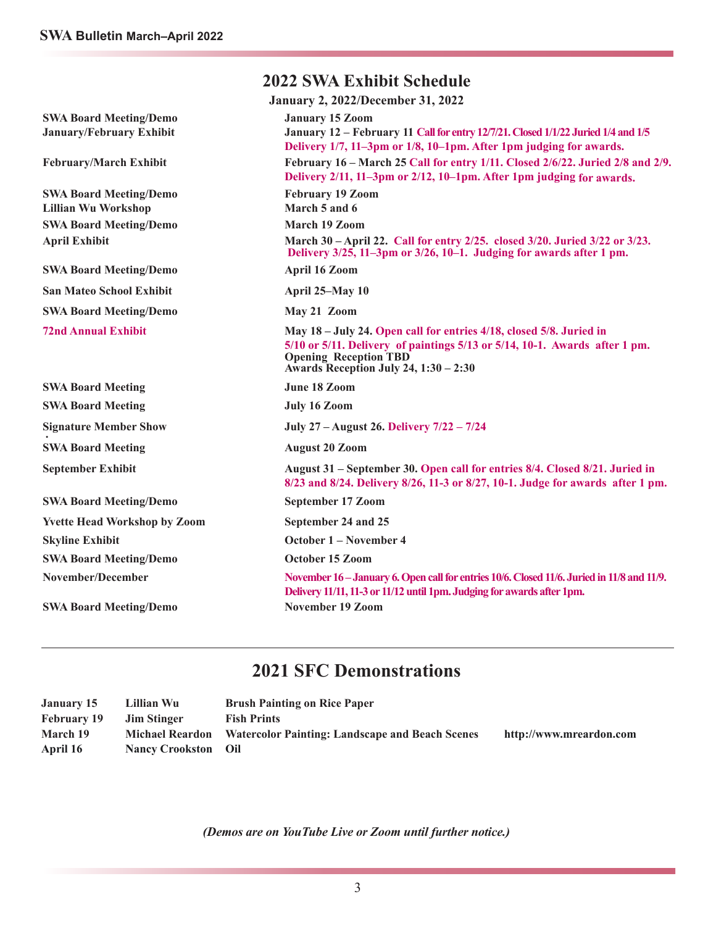|                                                                  | <b>2022 SWA Exhibit Schedule</b>                                                                                                                                                                                           |  |  |  |
|------------------------------------------------------------------|----------------------------------------------------------------------------------------------------------------------------------------------------------------------------------------------------------------------------|--|--|--|
| <b>January 2, 2022/December 31, 2022</b>                         |                                                                                                                                                                                                                            |  |  |  |
| <b>SWA Board Meeting/Demo</b><br><b>January/February Exhibit</b> | <b>January 15 Zoom</b><br>January 12 - February 11 Call for entry 12/7/21. Closed 1/1/22 Juried 1/4 and 1/5<br>Delivery 1/7, 11-3pm or 1/8, 10-1pm. After 1pm judging for awards.                                          |  |  |  |
| <b>February/March Exhibit</b>                                    | February 16 – March 25 Call for entry 1/11. Closed 2/6/22. Juried 2/8 and 2/9.<br>Delivery 2/11, 11–3pm or 2/12, 10–1pm. After 1pm judging for awards.                                                                     |  |  |  |
| <b>SWA Board Meeting/Demo</b><br><b>Lillian Wu Workshop</b>      | <b>February 19 Zoom</b><br>March 5 and 6                                                                                                                                                                                   |  |  |  |
| <b>SWA Board Meeting/Demo</b>                                    | March 19 Zoom                                                                                                                                                                                                              |  |  |  |
| <b>April Exhibit</b>                                             | March 30 – April 22. Call for entry 2/25. closed 3/20. Juried 3/22 or 3/23.<br>Delivery 3/25, 11-3pm or 3/26, 10-1. Judging for awards after 1 pm.                                                                         |  |  |  |
| <b>SWA Board Meeting/Demo</b>                                    | <b>April 16 Zoom</b>                                                                                                                                                                                                       |  |  |  |
| <b>San Mateo School Exhibit</b>                                  | April 25-May 10                                                                                                                                                                                                            |  |  |  |
| <b>SWA Board Meeting/Demo</b>                                    | May 21 Zoom                                                                                                                                                                                                                |  |  |  |
| <b>72nd Annual Exhibit</b>                                       | May 18 – July 24. Open call for entries 4/18, closed 5/8. Juried in<br>5/10 or 5/11. Delivery of paintings 5/13 or 5/14, 10-1. Awards after 1 pm.<br><b>Opening Reception TBD</b><br>Awards Reception July 24, 1:30 - 2:30 |  |  |  |
| <b>SWA Board Meeting</b>                                         | June 18 Zoom                                                                                                                                                                                                               |  |  |  |
| <b>SWA Board Meeting</b>                                         | <b>July 16 Zoom</b>                                                                                                                                                                                                        |  |  |  |
| <b>Signature Member Show</b>                                     | July 27 – August 26. Delivery 7/22 – 7/24                                                                                                                                                                                  |  |  |  |
| <b>SWA Board Meeting</b>                                         | <b>August 20 Zoom</b>                                                                                                                                                                                                      |  |  |  |
| <b>September Exhibit</b>                                         | August 31 – September 30. Open call for entries 8/4. Closed 8/21. Juried in<br>8/23 and 8/24. Delivery 8/26, 11-3 or 8/27, 10-1. Judge for awards after 1 pm.                                                              |  |  |  |
| <b>SWA Board Meeting/Demo</b>                                    | September 17 Zoom                                                                                                                                                                                                          |  |  |  |
| <b>Yvette Head Workshop by Zoom</b>                              | September 24 and 25                                                                                                                                                                                                        |  |  |  |
| <b>Skyline Exhibit</b>                                           | October 1 – November 4                                                                                                                                                                                                     |  |  |  |
| <b>SWA Board Meeting/Demo</b>                                    | October 15 Zoom                                                                                                                                                                                                            |  |  |  |
| November/December                                                | November 16 - January 6. Open call for entries 10/6. Closed 11/6. Juried in 11/8 and 11/9.<br>Delivery 11/11, 11-3 or 11/12 until 1pm. Judging for awards after 1pm.                                                       |  |  |  |
| <b>SWA Board Meeting/Demo</b>                                    | <b>November 19 Zoom</b>                                                                                                                                                                                                    |  |  |  |

### **2021 SFC Demonstrations**

| <b>January 15</b>  | Lillian Wu                 | <b>Brush Painting on Rice Paper</b>                             |                         |
|--------------------|----------------------------|-----------------------------------------------------------------|-------------------------|
| <b>February 19</b> | <b>Jim Stinger</b>         | <b>Fish Prints</b>                                              |                         |
| March 19           |                            | Michael Reardon Watercolor Painting: Landscape and Beach Scenes | http://www.mreardon.com |
| April 16           | <b>Nancy Crookston Oil</b> |                                                                 |                         |

*(Demos are on YouTube Live or Zoom until further notice.)*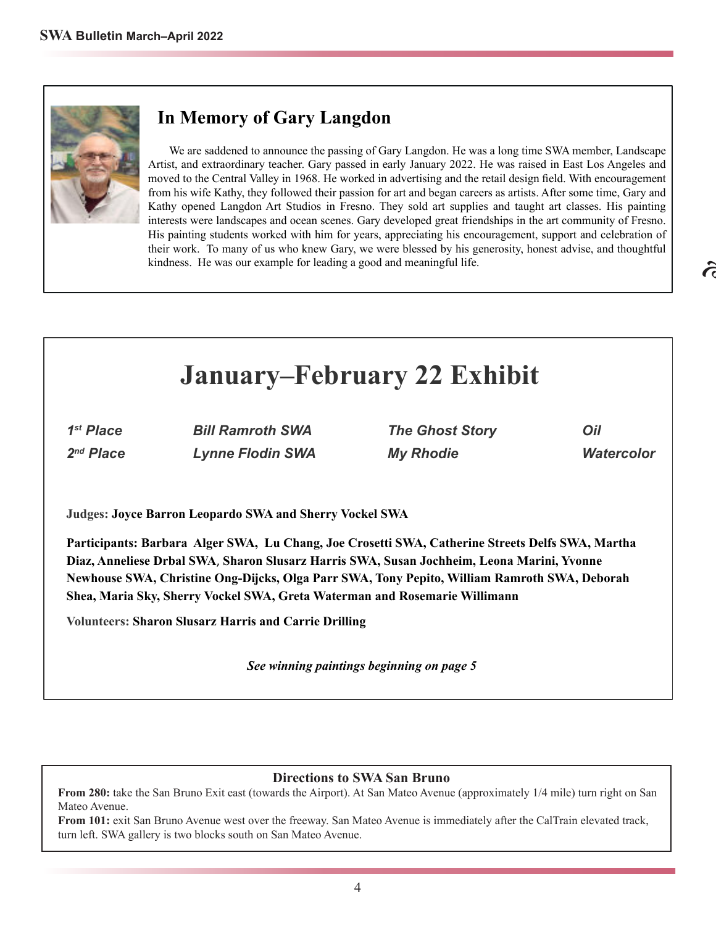### **In Memory of Gary Langdon**

We are saddened to announce the passing of Gary Langdon. He was a long time SWA member, Landscape Artist, and extraordinary teacher. Gary passed in early January 2022. He was raised in East Los Angeles and moved to the Central Valley in 1968. He worked in advertising and the retail design field. With encouragement from his wife Kathy, they followed their passion for art and began careers as artists. After some time, Gary and Kathy opened Langdon Art Studios in Fresno. They sold art supplies and taught art classes. His painting interests were landscapes and ocean scenes. Gary developed great friendships in the art community of Fresno. His painting students worked with him for years, appreciating his encouragement, support and celebration of their work. To many of us who knew Gary, we were blessed by his generosity, honest advise, and thoughtful kindness. He was our example for leading a good and meaningful life.

# **January–February 22 Exhibit**

1<sup>st</sup> Place 2<sup>nd</sup> Place

**Lynne Flodin SWA My Rhodie Watercolor** 

**Bill Ramroth SWA The Ghost Story Oil** 

**Judges: Joyce Barron Leopardo SWA and Sherry Vockel SWA**

**Participants: Barbara Alger SWA, Lu Chang, Joe Crosetti SWA, Catherine Streets Delfs SWA, Martha Diaz, Anneliese Drbal SWA**, **Sharon Slusarz Harris SWA, Susan Jochheim, Leona Marini, Yvonne Newhouse SWA, Christine Ong-Dijcks, Olga Parr SWA, Tony Pepito, William Ramroth SWA, Deborah Shea, Maria Sky, Sherry Vockel SWA, Greta Waterman and Rosemarie Willimann**

**Volunteers: Sharon Slusarz Harris and Carrie Drilling**

*See winning paintings beginning on page 5*

#### **Directions to SWA San Bruno**

**From 280:** take the San Bruno Exit east (towards the Airport). At San Mateo Avenue (approximately 1/4 mile) turn right on San Mateo Avenue.

**From 101:** exit San Bruno Avenue west over the freeway. San Mateo Avenue is immediately after the CalTrain elevated track, turn left. SWA gallery is two blocks south on San Mateo Avenue.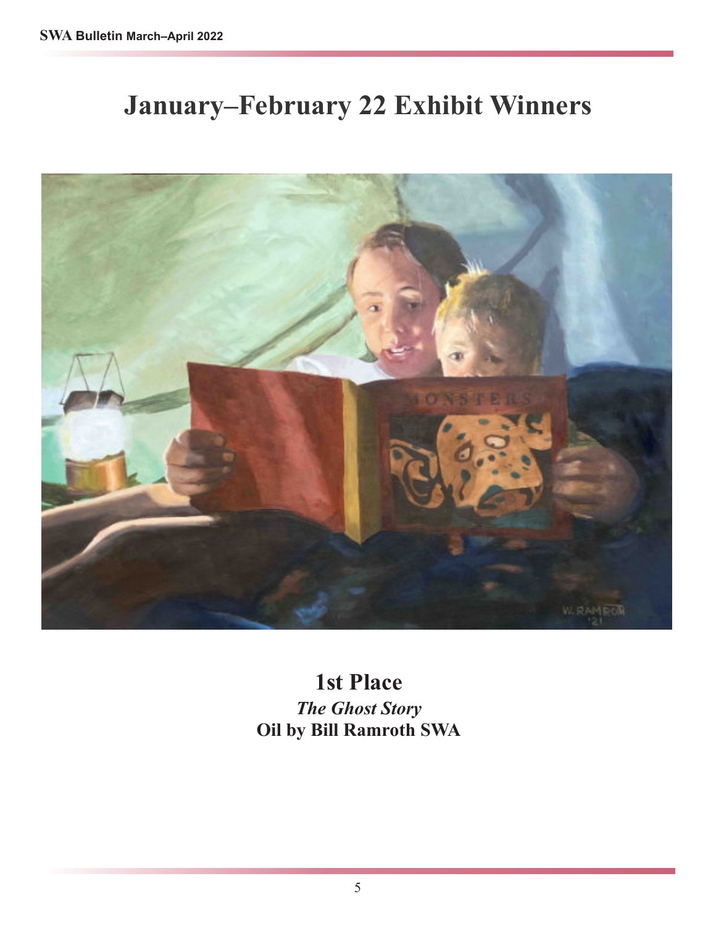# **January–February 22 Exhibit Winners**



**1st Place** *The Ghost Story* **Oil by Bill Ramroth SWA**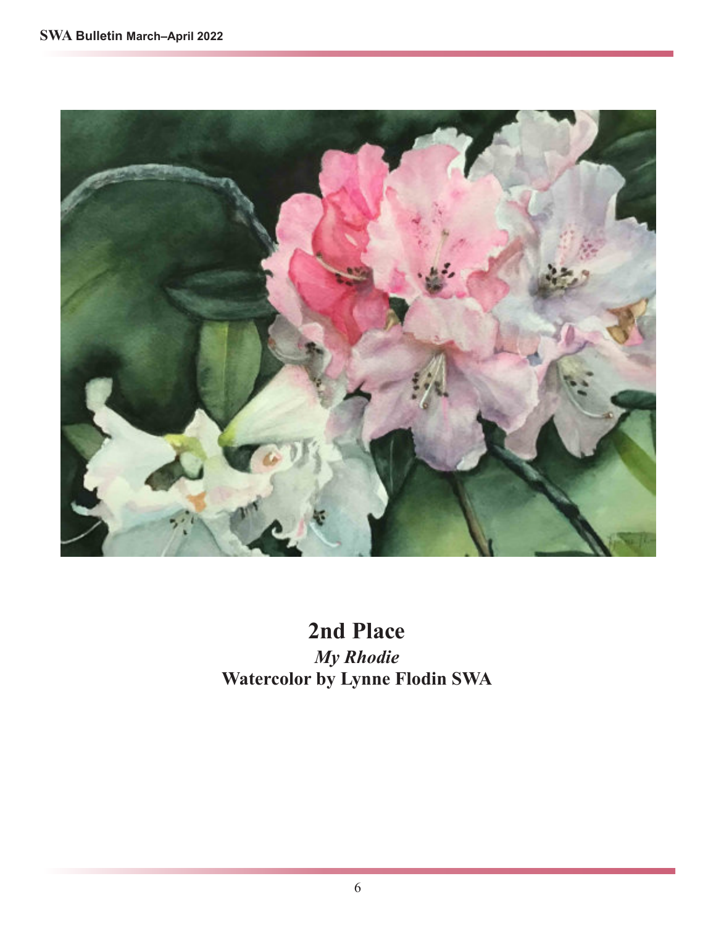

**2nd Place** *My Rhodie* **Watercolor by Lynne Flodin SWA**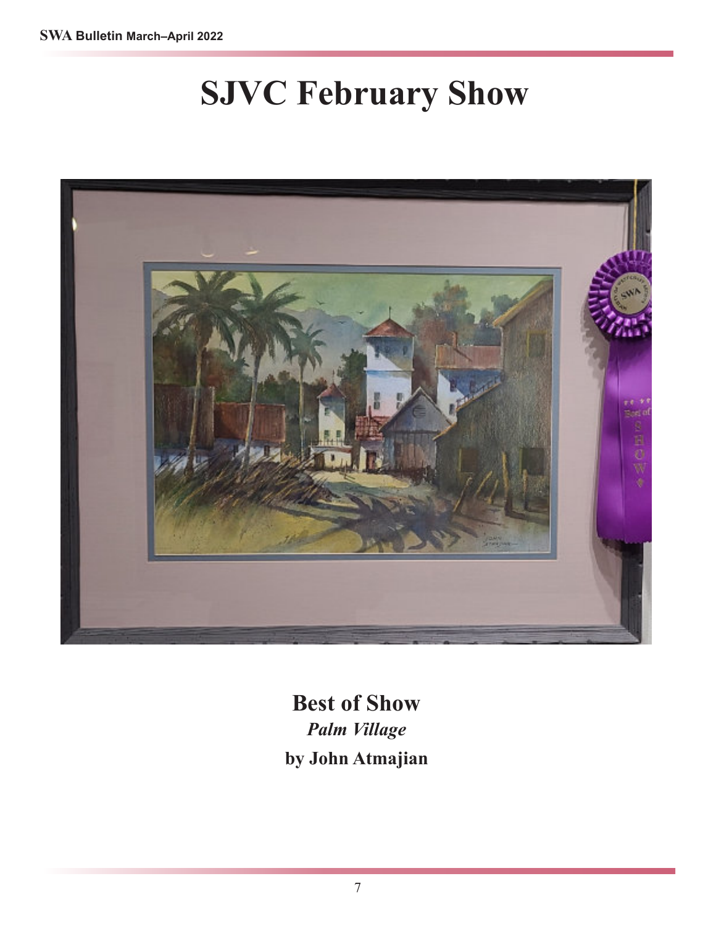# **SJVC February Show**



**Best of Show** *Palm Village* **by John Atmajian**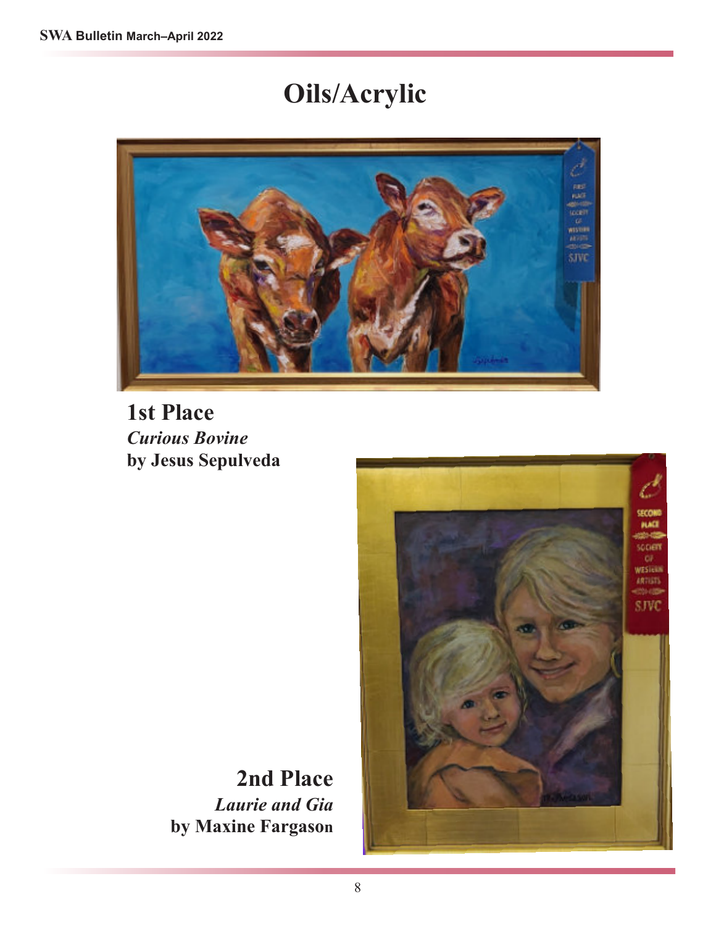# **Oils/Acrylic**



**1st Place** *Curious Bovine* **by Jesus Sepulveda**

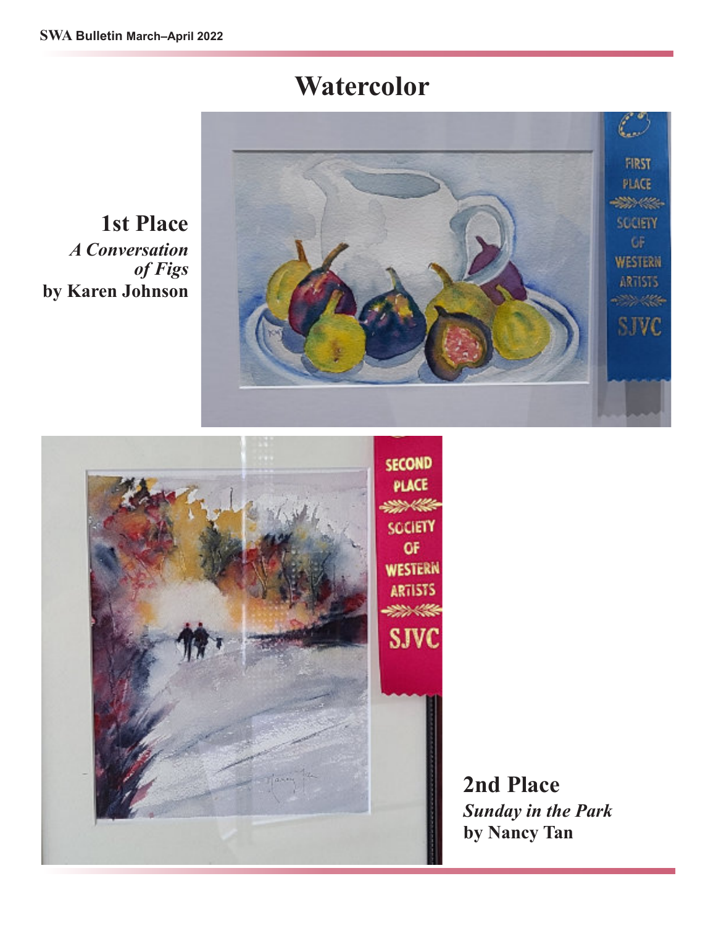## **Watercolor**



**1st Place** *A Conversation of Figs* **by Karen Johnson**



**2nd Place** *Sunday in the Park* **by Nancy Tan**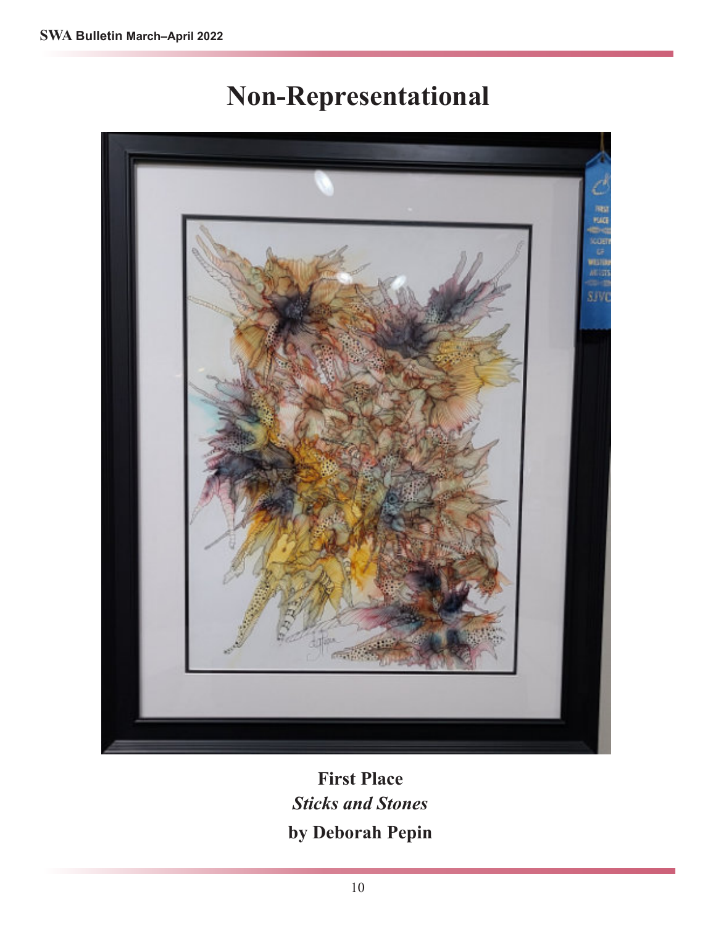# **Non-Representational**



### **First Place** *Sticks and Stones* **by Deborah Pepin**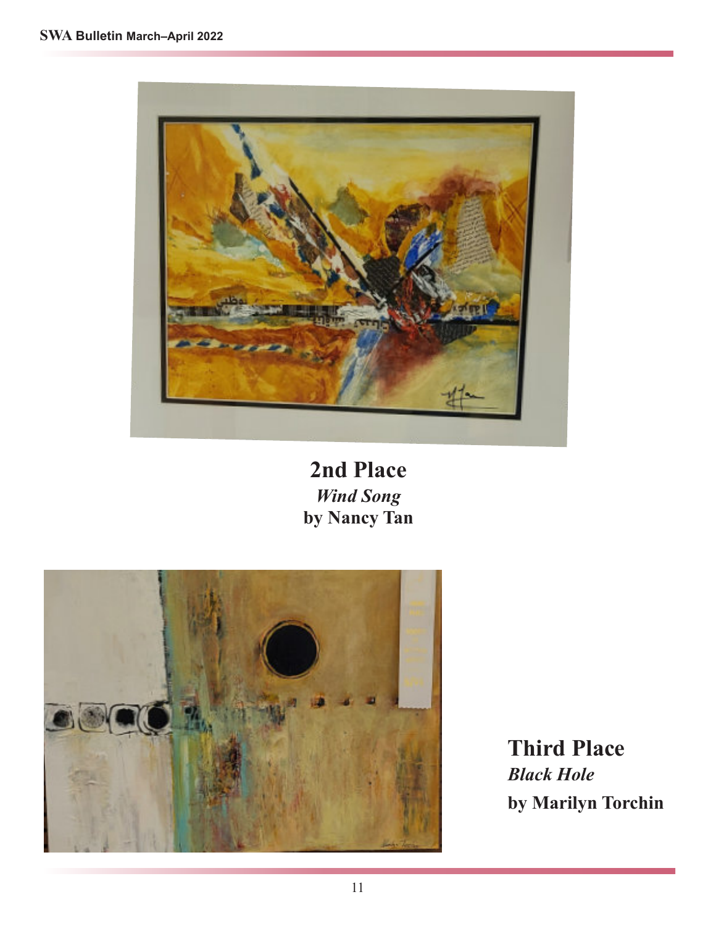

**2nd Place** *Wind Song* **by Nancy Tan**



**Third Place** *Black Hole* **by Marilyn Torchin**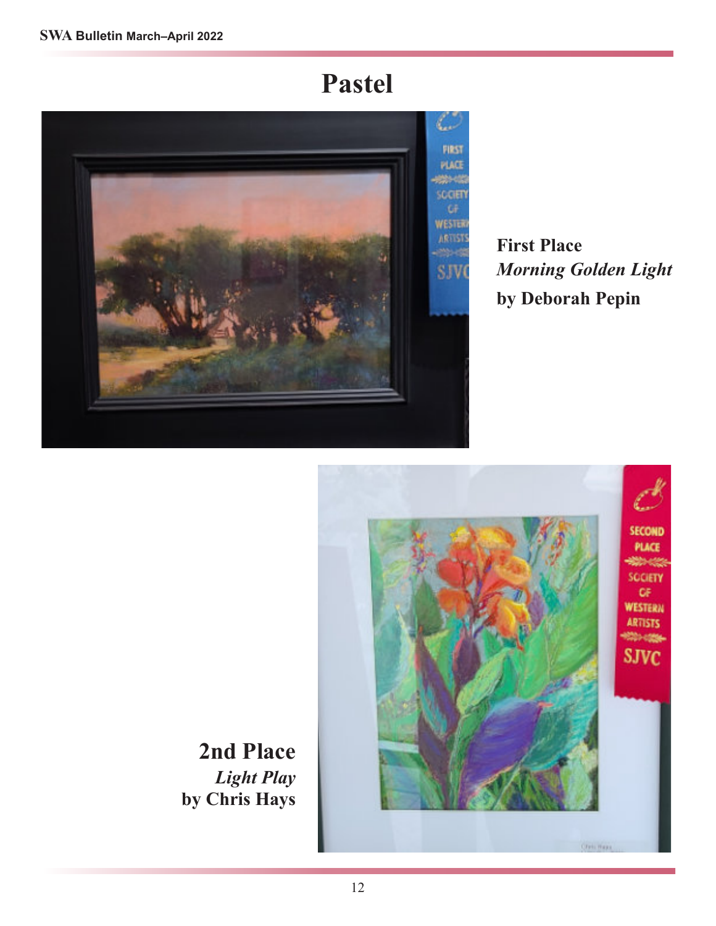# **Pastel**



**First Place** *Morning Golden Light* **by Deborah Pepin**



**2nd Place** *Light Play* **by Chris Hays**